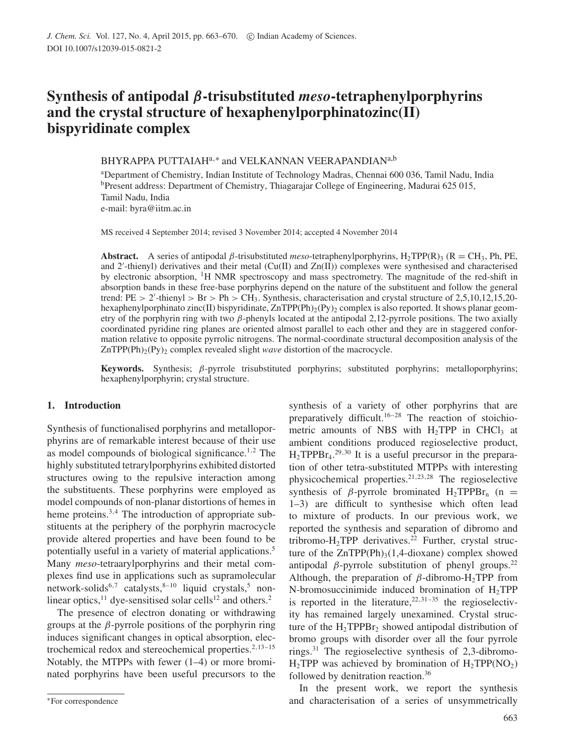# **Synthesis of antipodal** β**-trisubstituted** *meso***-tetraphenylporphyrins and the crystal structure of hexaphenylporphinatozinc(II) bispyridinate complex**

BHYRAPPA PUTTAIAH $\mathrm{^{a,*}}$  and VELKANNAN VEERAPANDIAN $\mathrm{^{a,b}}$ 

<sup>a</sup>Department of Chemistry, Indian Institute of Technology Madras, Chennai 600 036, Tamil Nadu, India <sup>b</sup>Present address: Department of Chemistry, Thiagarajar College of Engineering, Madurai 625 015, Tamil Nadu, India e-mail: byra@iitm.ac.in

MS received 4 September 2014; revised 3 November 2014; accepted 4 November 2014

**Abstract.** A series of antipodal β-trisubstituted *meso*-tetraphenylporphyrins, H<sub>2</sub>TPP(R)<sub>3</sub> (R = CH<sub>3</sub>, Ph, PE, and 2'-thienyl) derivatives and their metal (Cu(II) and Zn(II)) complexes were synthesised and characterised by electronic absorption, <sup>1</sup>H NMR spectroscopy and mass spectrometry. The magnitude of the red-shift in absorption bands in these free-base porphyrins depend on the nature of the substituent and follow the general trend: PE > 2'-thienyl > Br > Ph > CH<sub>3</sub>. Synthesis, characterisation and crystal structure of 2,5,10,12,15,20hexaphenylporphinato zinc(II) bispyridinate,  $\text{ZnTPP(Ph)}_2(\text{Py})_2$  complex is also reported. It shows planar geometry of the porphyrin ring with two  $\beta$ -phenyls located at the antipodal 2,12-pyrrole positions. The two axially coordinated pyridine ring planes are oriented almost parallel to each other and they are in staggered conformation relative to opposite pyrrolic nitrogens. The normal-coordinate structural decomposition analysis of the  $ZnTPP(Ph)<sub>2</sub>(Py)<sub>2</sub>$  complex revealed slight *wave* distortion of the macrocycle.

**Keywords.** Synthesis; β-pyrrole trisubstituted porphyrins; substituted porphyrins; metalloporphyrins; hexaphenylporphyrin; crystal structure.

## **1. Introduction**

Synthesis of functionalised porphyrins and metalloporphyrins are of remarkable interest because of their use as model compounds of biological significance.<sup>1,2</sup> The highly substituted tetrarylporphyrins exhibited distorted structures owing to the repulsive interaction among the substituents. These porphyrins were employed as model compounds of non-planar distortions of hemes in heme proteins.<sup>3,4</sup> The introduction of appropriate substituents at the periphery of the porphyrin macrocycle provide altered properties and have been found to be potentially useful in a variety of material applications.<sup>5</sup> Many *meso*-tetraarylporphyrins and their metal complexes find use in applications such as supramolecular network-solids<sup>6,7</sup> catalysts,<sup>8-10</sup> liquid crystals,<sup>5</sup> nonlinear optics,<sup>11</sup> dye-sensitised solar cells<sup>12</sup> and others.<sup>2</sup>

The presence of electron donating or withdrawing groups at the  $\beta$ -pyrrole positions of the porphyrin ring induces significant changes in optical absorption, electrochemical redox and stereochemical properties. $2,13-15$ Notably, the MTPPs with fewer (1–4) or more brominated porphyrins have been useful precursors to the synthesis of a variety of other porphyrins that are preparatively difficult.<sup>16–28</sup> The reaction of stoichiometric amounts of NBS with  $H_2TPP$  in CHCl<sub>3</sub> at ambient conditions produced regioselective product,  $H_2$ TPPB $r_4$ <sup>29,30</sup> It is a useful precursor in the preparation of other tetra-substituted MTPPs with interesting physicochemical properties.<sup>21,23,28</sup> The regioselective synthesis of  $\beta$ -pyrrole brominated H<sub>2</sub>TPPBr<sub>n</sub> (n = 1–3) are difficult to synthesise which often lead to mixture of products. In our previous work, we reported the synthesis and separation of dibromo and tribromo-H<sub>2</sub>TPP derivatives.<sup>22</sup> Further, crystal structure of the  $ZnTPP(Ph)_{3}(1,4-dioxane)$  complex showed antipodal β-pyrrole substitution of phenyl groups.<sup>22</sup> Although, the preparation of  $\beta$ -dibromo-H<sub>2</sub>TPP from N-bromosuccinimide induced bromination of  $H_2TPP$ is reported in the literature, $22,31-35$  the regioselectivity has remained largely unexamined. Crystal structure of the  $H_2$ TPPBr<sub>2</sub> showed antipodal distribution of bromo groups with disorder over all the four pyrrole rings.<sup>31</sup> The regioselective synthesis of 2,3-dibromo- $H_2$ TPP was achieved by bromination of  $H_2$ TPP(NO<sub>2</sub>) followed by denitration reaction.<sup>36</sup>

In the present work, we report the synthesis and characterisation of a series of unsymmetrically

<sup>∗</sup>For correspondence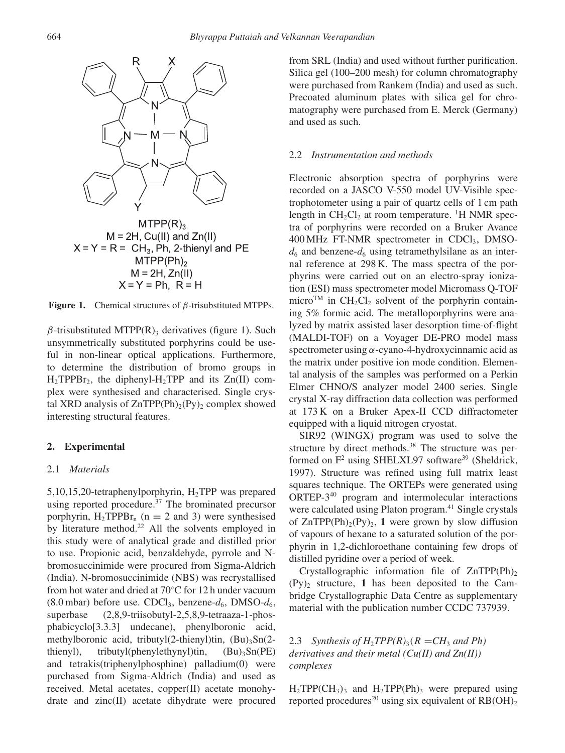

 $M = 2H$ , Cu(II) and Zn(II)  $X = Y = R = CH<sub>3</sub>$ , Ph, 2-thienyl and PE  $MTPP(Ph)<sub>2</sub>$  $M = 2H$ .  $Zn(II)$  $X = Y = Ph$ . R = H



 $\beta$ -trisubstituted MTPP(R)<sub>3</sub> derivatives (figure 1). Such unsymmetrically substituted porphyrins could be useful in non-linear optical applications. Furthermore, to determine the distribution of bromo groups in  $H_2$ TPPBr<sub>2</sub>, the diphenyl-H<sub>2</sub>TPP and its Zn(II) complex were synthesised and characterised. Single crystal XRD analysis of  $ZnTPP(Ph)_{2}(Py)_{2}$  complex showed interesting structural features.

## **2. Experimental**

## 2.1 *Materials*

5,10,15,20-tetraphenylporphyrin,  $H_2$ TPP was prepared using reported procedure. $37$  The brominated precursor porphyrin,  $H_2$ TPPBr<sub>n</sub> (n = 2 and 3) were synthesised by literature method.<sup>22</sup> All the solvents employed in this study were of analytical grade and distilled prior to use. Propionic acid, benzaldehyde, pyrrole and Nbromosuccinimide were procured from Sigma-Aldrich (India). N-bromosuccinimide (NBS) was recrystallised from hot water and dried at 70◦C for 12 h under vacuum (8.0 mbar) before use. CDCl<sub>3</sub>, benzene- $d_6$ , DMSO- $d_6$ , superbase (2,8,9-triisobutyl-2,5,8,9-tetraaza-1-phosphabicyclo[3.3.3] undecane), phenylboronic acid, methylboronic acid, tributyl $(2$ -thienyl)tin,  $(Bu)$ <sub>3</sub>Sn $(2$ thienyl), tributyl(phenylethynyl)tin,  $(Bu)$ <sub>3</sub>Sn(PE) and tetrakis(triphenylphosphine) palladium(0) were purchased from Sigma-Aldrich (India) and used as received. Metal acetates, copper(II) acetate monohydrate and zinc(II) acetate dihydrate were procured from SRL (India) and used without further purification. Silica gel (100–200 mesh) for column chromatography were purchased from Rankem (India) and used as such. Precoated aluminum plates with silica gel for chromatography were purchased from E. Merck (Germany) and used as such.

#### 2.2 *Instrumentation and methods*

Electronic absorption spectra of porphyrins were recorded on a JASCO V-550 model UV-Visible spectrophotometer using a pair of quartz cells of 1 cm path length in  $CH_2Cl_2$  at room temperature. <sup>1</sup>H NMR spectra of porphyrins were recorded on a Bruker Avance 400 MHz FT-NMR spectrometer in CDCl<sub>3</sub>, DMSO $d_6$  and benzene- $d_6$  using tetramethylsilane as an internal reference at 298 K. The mass spectra of the porphyrins were carried out on an electro-spray ionization (ESI) mass spectrometer model Micromass Q-TOF micro<sup>TM</sup> in CH<sub>2</sub>Cl<sub>2</sub> solvent of the porphyrin containing 5% formic acid. The metalloporphyrins were analyzed by matrix assisted laser desorption time-of-flight (MALDI-TOF) on a Voyager DE-PRO model mass spectrometer using  $\alpha$ -cyano-4-hydroxycinnamic acid as the matrix under positive ion mode condition. Elemental analysis of the samples was performed on a Perkin Elmer CHNO/S analyzer model 2400 series. Single crystal X-ray diffraction data collection was performed at 173 K on a Bruker Apex-II CCD diffractometer equipped with a liquid nitrogen cryostat.

SIR92 (WINGX) program was used to solve the structure by direct methods.<sup>38</sup> The structure was performed on  $F^2$  using SHELXL97 software<sup>39</sup> (Sheldrick, 1997). Structure was refined using full matrix least squares technique. The ORTEPs were generated using ORTEP-3<sup>40</sup> program and intermolecular interactions were calculated using Platon program.<sup>41</sup> Single crystals of  $ZnTPP(Ph)_{2}(Py)_{2}$ , 1 were grown by slow diffusion of vapours of hexane to a saturated solution of the porphyrin in 1,2-dichloroethane containing few drops of distilled pyridine over a period of week.

Crystallographic information file of  $ZnTPP(Ph)<sub>2</sub>$  $(Py)_2$  structure, 1 has been deposited to the Cambridge Crystallographic Data Centre as supplementary material with the publication number CCDC 737939.

2.3 *Synthesis of H<sub>2</sub>TPP(R)*<sub>3</sub>( $R = CH_3$  *and Ph) derivatives and their metal (Cu(II) and Zn(II)) complexes*

 $H_2TPP(CH_3)$ <sub>3</sub> and  $H_2TPP(Ph)$ <sub>3</sub> were prepared using reported procedures<sup>20</sup> using six equivalent of  $RB(OH)_{2}$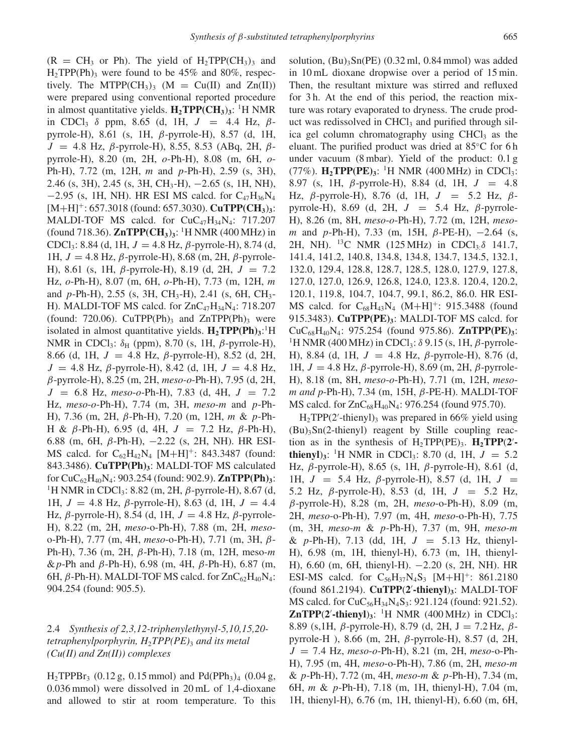$(R = CH_3 \text{ or } Ph)$ . The yield of H<sub>2</sub>TPP(CH<sub>3</sub>)<sub>3</sub> and  $H_2TPP(Ph)$ <sub>3</sub> were found to be 45% and 80%, respectively. The MTPP(CH<sub>3</sub>)<sub>3</sub> (M = Cu(II) and Zn(II)) were prepared using conventional reported procedure in almost quantitative yields. **H2TPP(CH3**)**3**: <sup>1</sup>H NMR in CDCl<sub>3</sub>  $\delta$  ppm, 8.65 (d, 1H,  $J = 4.4$  Hz,  $\beta$ pyrrole-H), 8.61 (s, 1H, β-pyrrole-H), 8.57 (d, 1H,  $J = 4.8$  Hz, β-pyrrole-H), 8.55, 8.53 (ABq, 2H, βpyrrole-H), 8.20 (m, 2H, o-Ph-H), 8.08 (m, 6H, o-Ph-H), 7.72 (m, 12H, m and p-Ph-H), 2.59 (s, 3H), 2.46 (s, 3H), 2.45 (s, 3H, CH<sub>3</sub>-H),  $-2.65$  (s, 1H, NH),  $-2.95$  (s, 1H, NH). HR ESI MS calcd. for C<sub>47</sub>H<sub>36</sub>N<sub>4</sub> [M+H]<sup>+</sup>: 657.3018 (found: 657.3030). **CuTPP(CH3**)**3**: MALDI-TOF MS calcd. for  $CuC_{47}H_{34}N_{4}$ : 717.207 (found 718.36). **ZnTPP(CH3**)**3**: <sup>1</sup>H NMR (400 MHz) in CDCl<sub>3</sub>: 8.84 (d, 1H,  $J = 4.8$  Hz,  $\beta$ -pyrrole-H), 8.74 (d, 1H,  $J = 4.8$  Hz,  $\beta$ -pyrrole-H), 8.68 (m, 2H,  $\beta$ -pyrrole-H), 8.61 (s, 1H, β-pyrrole-H), 8.19 (d, 2H,  $J = 7.2$ Hz, o-Ph-H), 8.07 (m, 6H, o-Ph-H), 7.73 (m, 12H, m and  $p$ -Ph-H), 2.55 (s, 3H, CH<sub>3</sub>-H), 2.41 (s, 6H, CH<sub>3</sub>-H). MALDI-TOF MS calcd. for  $ZnC_{47}H_{34}N_{4}$ : 718.207 (found: 720.06). CuTPP(Ph)<sub>3</sub> and ZnTPP(Ph)<sub>3</sub> were isolated in almost quantitative yields.  $H_2 TPP(Ph)_3$ <sup>1</sup>H NMR in CDCl<sub>3</sub>:  $\delta_H$  (ppm), 8.70 (s, 1H,  $\beta$ -pyrrole-H), 8.66 (d, 1H,  $J = 4.8$  Hz,  $\beta$ -pyrrole-H), 8.52 (d, 2H,  $J = 4.8$  Hz,  $\beta$ -pyrrole-H), 8.42 (d, 1H,  $J = 4.8$  Hz, β-pyrrole-H), 8.25 (m, 2H, *meso-o*-Ph-H), 7.95 (d, 2H,  $J = 6.8$  Hz, *meso-o-Ph-H*), 7.83 (d, 4H,  $J = 7.2$ Hz, *meso*-o-Ph-H), 7.74 (m, 3H, *meso*-m and p-Ph-H), 7.36 (m, 2H, β-Ph-H), 7.20 (m, 12H, m & p-Ph-H & β-Ph-H), 6.95 (d, 4H,  $J = 7.2$  Hz, β-Ph-H), 6.88 (m, 6H, β-Ph-H), −2.22 (s, 2H, NH). HR ESI-MS calcd. for  $C_{62}H_{42}N_4$  [M+H]<sup>+</sup>: 843.3487 (found: 843.3486). **CuTPP(Ph)3**: MALDI-TOF MS calculated for CuC62H40N4: 903.254 (found: 902.9). **ZnTPP(Ph)3**: <sup>1</sup>H NMR in CDCl<sub>3</sub>: 8.82 (m, 2H, β-pyrrole-H), 8.67 (d, 1H,  $J = 4.8$  Hz, β-pyrrole-H), 8.63 (d, 1H,  $J = 4.4$ Hz, β-pyrrole-H), 8.54 (d, 1H,  $J = 4.8$  Hz, β-pyrrole-H), 8.22 (m, 2H, *meso*-o-Ph-H), 7.88 (m, 2H, *meso*o-Ph-H), 7.77 (m, 4H, *meso*-o-Ph-H), 7.71 (m, 3H, β-Ph-H), 7.36 (m, 2H, β-Ph-H), 7.18 (m, 12H, meso-m & *p*-Ph and *β*-Ph-H), 6.98 (m, 4H, *β*-Ph-H), 6.87 (m, 6H,  $\beta$ -Ph-H). MALDI-TOF MS calcd. for  $ZnC_{62}H_{40}N_4$ : 904.254 (found: 905.5).

# 2.4 *Synthesis of 2,3,12-triphenylethynyl-5,10,15,20 tetraphenylporphyrin, H*2*TPP(PE)*<sup>3</sup> *and its metal (Cu(II) and Zn(II)) complexes*

 $H_2$ TPPBr<sub>3</sub> (0.12 g, 0.15 mmol) and Pd(PPh<sub>3</sub>)<sub>4</sub> (0.04 g, 0.036 mmol) were dissolved in 20 mL of 1,4-dioxane and allowed to stir at room temperature. To this solution,  $(Bu)$ <sub>3</sub>Sn(PE) (0.32 ml, 0.84 mmol) was added in 10 mL dioxane dropwise over a period of 15 min. Then, the resultant mixture was stirred and refluxed for 3 h. At the end of this period, the reaction mixture was rotary evaporated to dryness. The crude product was redissolved in  $CHCl<sub>3</sub>$  and purified through silica gel column chromatography using  $CHCl<sub>3</sub>$  as the eluant. The purified product was dried at 85◦C for 6 h under vacuum (8 mbar). Yield of the product: 0.1 g (77%). **H2TPP(PE)3**: <sup>1</sup>H NMR (400 MHz) in CDCl3: 8.97 (s, 1H,  $\beta$ -pyrrole-H), 8.84 (d, 1H,  $J = 4.8$ Hz, β-pyrrole-H), 8.76 (d, 1H,  $J = 5.2$  Hz, βpyrrole-H), 8.69 (d, 2H,  $J = 5.4$  Hz,  $\beta$ -pyrrole-H), 8.26 (m, 8H, *meso*-o-Ph-H), 7.72 (m, 12H, *meso*m and p-Ph-H), 7.33 (m, 15H,  $\beta$ -PE-H),  $-2.64$  (s, 2H, NH). <sup>13</sup>C NMR (125 MHz) in CDCl<sub>3:</sub> $\delta$  141.7, 141.4, 141.2, 140.8, 134.8, 134.8, 134.7, 134.5, 132.1, 132.0, 129.4, 128.8, 128.7, 128.5, 128.0, 127.9, 127.8, 127.0, 127.0, 126.9, 126.8, 124.0, 123.8. 120.4, 120.2, 120.1, 119.8, 104.7, 104.7, 99.1, 86.2, 86.0. HR ESI-MS calcd. for  $C_{68}H_{43}N_4$  (M+H]<sup>+</sup>: 915.3488 (found 915.3483). **CuTPP(PE)3**: MALDI-TOF MS calcd. for CuC68H40N4: 975.254 (found 975.86). **ZnTPP(PE)3**: <sup>1</sup>H NMR (400 MHz) in CDCl<sub>3</sub>:  $\delta$  9.15 (s, 1H,  $\beta$ -pyrrole-H), 8.84 (d, 1H,  $J = 4.8$  Hz, β-pyrrole-H), 8.76 (d, 1H,  $J = 4.8$  Hz, β-pyrrole-H), 8.69 (m, 2H, β-pyrrole-H), 8.18 (m, 8H, *meso*-o-Ph-H), 7.71 (m, 12H, *mesom and p*-Ph-H), 7.34 (m, 15H, β-PE-H). MALDI-TOF MS calcd. for  $ZnC_{68}H_{40}N_4$ : 976.254 (found 975.70).

 $H_2TPP(2'-thienyl)_3$  was prepared in 66% yield using  $(Bu)$ <sub>3</sub>Sn(2-thienyl) reagent by Stille coupling reaction as in the synthesis of  $H_2TPP(PE)_3$ .  $H_2TPP(2')$ . **thienyl**)<sub>3</sub>: <sup>1</sup>H NMR in CDCl<sub>3</sub>: 8.70 (d, 1H,  $J = 5.2$ Hz, β-pyrrole-H), 8.65 (s, 1H, β-pyrrole-H), 8.61 (d, 1H,  $J = 5.4$  Hz, β-pyrrole-H), 8.57 (d, 1H,  $J =$ 5.2 Hz,  $\beta$ -pyrrole-H), 8.53 (d, 1H,  $J = 5.2$  Hz, β-pyrrole-H), 8.28 (m, 2H, *meso*-o-Ph-H), 8.09 (m, 2H, *meso*-o-Ph-H), 7.97 (m, 4H, *meso*-o-Ph-H), 7.75 (m, 3H, *meso*-m & p-Ph-H), 7.37 (m, 9H, *meso*-m & p-Ph-H), 7.13 (dd, 1H,  $J = 5.13$  Hz, thienyl-H), 6.98 (m, 1H, thienyl-H), 6.73 (m, 1H, thienyl-H), 6.60 (m, 6H, thienyl-H). −2.20 (s, 2H, NH). HR ESI-MS calcd. for  $C_{56}H_{37}N_4S_3$  [M+H]<sup>+</sup>: 861.2180 (found 861.2194). **CuTPP**(**2** ′ **-thienyl**)**3**: MALDI-TOF MS calcd. for  $CuC_{56}H_{34}N_4S_3$ : 921.124 (found: 921.52). **ZnTPP** $(2^t$ -thienyl<sub>1</sub> $)$ <sup>1</sup> $\text{H}$  NMR (400 MHz) in CDCl<sub>3</sub>: 8.89 (s, 1H,  $\beta$ -pyrrole-H), 8.79 (d, 2H, J = 7.2 Hz,  $\beta$ pyrrole-H ), 8.66 (m, 2H, β-pyrrole-H), 8.57 (d, 2H, J = 7.4 Hz, *meso*-o-Ph-H), 8.21 (m, 2H, *meso*-o-Ph-H), 7.95 (m, 4H, *meso*-o-Ph-H), 7.86 (m, 2H, *meso*-m & p-Ph-H), 7.72 (m, 4H, *meso*-m & p-Ph-H), 7.34 (m, 6H, m & p-Ph-H), 7.18 (m, 1H, thienyl-H), 7.04 (m, 1H, thienyl-H), 6.76 (m, 1H, thienyl-H), 6.60 (m, 6H,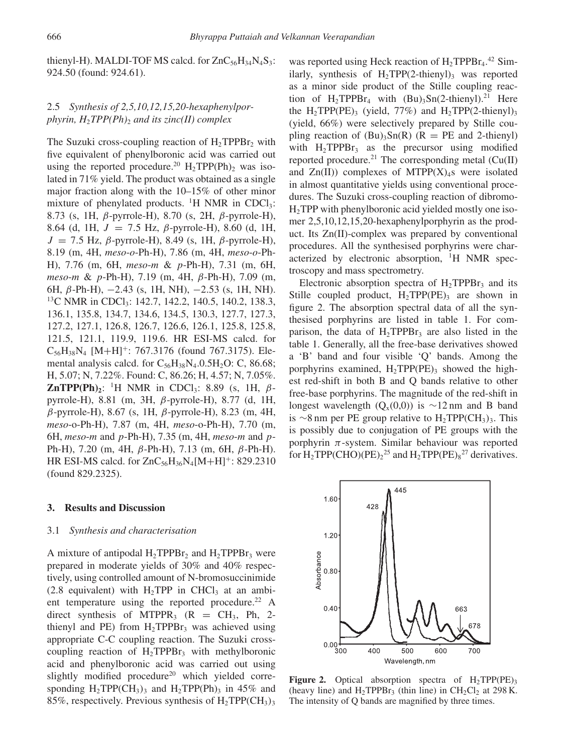thienyl-H). MALDI-TOF MS calcd. for  $ZnC_{56}H_{34}N_4S_3$ : 924.50 (found: 924.61).

# 2.5 *Synthesis of 2,5,10,12,15,20-hexaphenylporphyrin, H<sub>2</sub>TPP(Ph)<sub>2</sub> and its zinc(II) complex*

The Suzuki cross-coupling reaction of  $H_2TPPBr_2$  with five equivalent of phenylboronic acid was carried out using the reported procedure.<sup>20</sup> H<sub>2</sub>TPP(Ph)<sub>2</sub> was isolated in 71% yield. The product was obtained as a single major fraction along with the 10–15% of other minor mixture of phenylated products. <sup>1</sup>H NMR in CDCl<sub>3</sub>: 8.73 (s, 1H, β-pyrrole-H), 8.70 (s, 2H, β-pyrrole-H), 8.64 (d, 1H,  $J = 7.5$  Hz,  $\beta$ -pyrrole-H), 8.60 (d, 1H,  $J = 7.5$  Hz,  $\beta$ -pyrrole-H), 8.49 (s, 1H,  $\beta$ -pyrrole-H), 8.19 (m, 4H, *meso*-o-Ph-H), 7.86 (m, 4H, *meso*-o-Ph-H), 7.76 (m, 6H, *meso*-m & p-Ph-H), 7.31 (m, 6H, *meso*-m & p-Ph-H), 7.19 (m, 4H, β-Ph-H), 7.09 (m, 6H,  $\beta$ -Ph-H),  $-2.43$  (s, 1H, NH),  $-2.53$  (s, 1H, NH). <sup>13</sup>C NMR in CDCl<sub>3</sub>: 142.7, 142.2, 140.5, 140.2, 138.3, 136.1, 135.8, 134.7, 134.6, 134.5, 130.3, 127.7, 127.3, 127.2, 127.1, 126.8, 126.7, 126.6, 126.1, 125.8, 125.8, 121.5, 121.1, 119.9, 119.6. HR ESI-MS calcd. for  $C_{56}H_{38}N_4$  [M+H]<sup>+</sup>: 767.3176 (found 767.3175). Elemental analysis calcd. for  $C_{56}H_{38}N_4.0.5H_2O$ : C, 86.68; H, 5.07; N, 7.22%. Found: C, 86.26; H, 4.57; N, 7.05%. **ZnTPP(Ph)**<sub>2</sub>: <sup>1</sup>H NMR in CDCl<sub>3</sub>: 8.89 (s, 1H,  $\beta$ pyrrole-H), 8.81 (m, 3H, β-pyrrole-H), 8.77 (d, 1H, β-pyrrole-H), 8.67 (s, 1H, β-pyrrole-H), 8.23 (m, 4H, *meso*-o-Ph-H), 7.87 (m, 4H, *meso*-o-Ph-H), 7.70 (m, 6H, *meso*-m and p-Ph-H), 7.35 (m, 4H, *meso*-m and p-Ph-H), 7.20 (m, 4H, β-Ph-H), 7.13 (m, 6H, β-Ph-H). HR ESI-MS calcd. for  $ZnC_{56}H_{36}N_{4}[M+H]^{+}$ : 829.2310 (found 829.2325).

## **3. Results and Discussion**

#### 3.1 *Synthesis and characterisation*

A mixture of antipodal  $H_2TPPBr_2$  and  $H_2TPPBr_3$  were prepared in moderate yields of 30% and 40% respectively, using controlled amount of N-bromosuccinimide (2.8 equivalent) with  $H_2$ TPP in CHCl<sub>3</sub> at an ambient temperature using the reported procedure.<sup>22</sup> A direct synthesis of MTPPR<sub>3</sub>  $(R = CH_3, Ph, 2$ thienyl and PE) from  $H_2$ TPPBr<sub>3</sub> was achieved using appropriate C-C coupling reaction. The Suzuki crosscoupling reaction of  $H_2TPPBr_3$  with methylboronic acid and phenylboronic acid was carried out using slightly modified procedure<sup>20</sup> which yielded corresponding  $H_2TPP(CH_3)$ <sub>3</sub> and  $H_2TPP(Ph)_3$  in 45% and 85%, respectively. Previous synthesis of  $H_2TPP(CH_3)$ 

was reported using Heck reaction of  $H_2 TPPBr_4$ .<sup>42</sup> Similarly, synthesis of  $H_2TPP(2-thienyl)$ <sub>3</sub> was reported as a minor side product of the Stille coupling reaction of  $H_2 TPPBr_4$  with  $(Bu)_3 Sn(2-thienyl).^{21}$  Here the  $H_2TPP(PE)$ <sub>3</sub> (yield, 77%) and  $H_2TPP(2-thienyl)$ <sub>3</sub> (yield, 66%) were selectively prepared by Stille coupling reaction of  $(Bu)$ <sub>3</sub>Sn(R) (R = PE and 2-thienyl) with  $H_2TPPBr_3$  as the precursor using modified reported procedure.<sup>21</sup> The corresponding metal ( $Cu(II)$ ) and  $Zn(II)$ ) complexes of MTPP $(X)_{4}$ s were isolated in almost quantitative yields using conventional procedures. The Suzuki cross-coupling reaction of dibromo- $H<sub>2</sub> TPP$  with phenylboronic acid yielded mostly one isomer 2,5,10,12,15,20-hexaphenylporphyrin as the product. Its Zn(II)-complex was prepared by conventional procedures. All the synthesised porphyrins were characterized by electronic absorption,  $\mathrm{H}$  NMR spectroscopy and mass spectrometry.

Electronic absorption spectra of  $H_2$ TPPBr<sub>3</sub> and its Stille coupled product,  $H_2TPP(PE)$ <sub>3</sub> are shown in figure 2. The absorption spectral data of all the synthesised porphyrins are listed in table 1. For comparison, the data of  $H_2TPPBr_3$  are also listed in the table 1. Generally, all the free-base derivatives showed a 'B' band and four visible 'Q' bands. Among the porphyrins examined,  $H_2TPP(PE)$ <sub>3</sub> showed the highest red-shift in both B and Q bands relative to other free-base porphyrins. The magnitude of the red-shift in longest wavelength ( $Q_x(0,0)$ ) is ∼12 nm and B band is ∼8 nm per PE group relative to  $H_2TPP(CH_3)$ 3. This is possibly due to conjugation of PE groups with the porphyrin  $\pi$ -system. Similar behaviour was reported for  $H_2TPP(CHO)(PE)_2^{25}$  and  $H_2TPP(PE)_8^{27}$  derivatives.



**Figure 2.** Optical absorption spectra of  $H_2TPP(PE)$ <sub>3</sub> (heavy line) and  $H_2TPPBr_3$  (thin line) in CH<sub>2</sub>Cl<sub>2</sub> at 298 K. The intensity of Q bands are magnified by three times.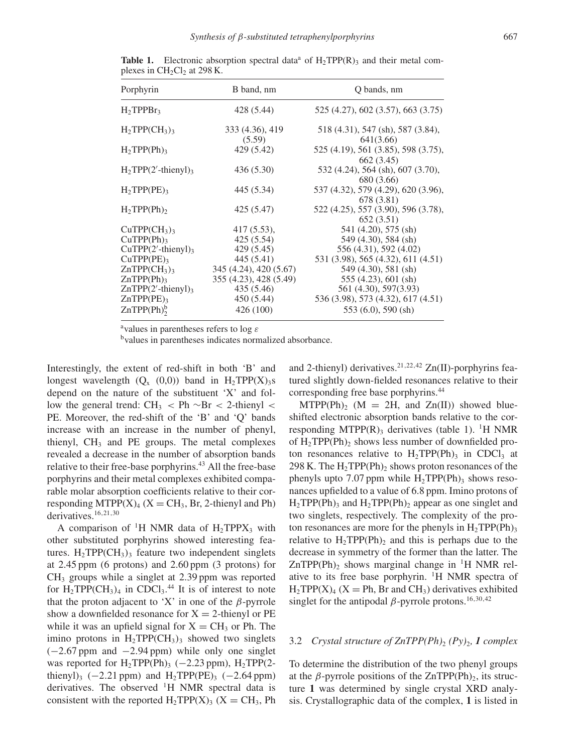| Porphyrin                           | B band, nm             | Q bands, nm                                                     |
|-------------------------------------|------------------------|-----------------------------------------------------------------|
| $H_2$ TPPB $r_3$                    | 428 (5.44)             | 525 (4.27), 602 (3.57), 663 (3.75)                              |
| $H_2TPP(CH_3)_3$                    | 333 (4.36), 419        | 518 (4.31), 547 (sh), 587 (3.84),                               |
| H <sub>2</sub> TPP(Ph) <sub>3</sub> | (5.59)<br>429 (5.42)   | 641(3.66)<br>525 (4.19), 561 (3.85), 598 (3.75),                |
| $H_2 TPP(2'-thienyl)_3$             | 436 (5.30)             | 662 (3.45)<br>532 (4.24), 564 (sh), 607 (3.70),                 |
| $H_2 TPP(PE)_3$                     | 445 (5.34)             | 680 (3.66)<br>537 (4.32), 579 (4.29), 620 (3.96),<br>678 (3.81) |
| $H_2 TPP(Ph)_2$                     | 425 (5.47)             | 522 (4.25), 557 (3.90), 596 (3.78),<br>652(3.51)                |
| $CuTPP(CH_3)$                       | $417(5.53)$ ,          | 541 (4.20), 575 (sh)                                            |
| CuTPP(Ph)                           | 425 (5.54)             | 549 (4.30), 584 (sh)                                            |
| $CuTPP(2'-thienyl)3$                | 429 (5.45)             | 556 (4.31), 592 (4.02)                                          |
| CuTPP(PE)                           | 445 (5.41)             | 531 (3.98), 565 (4.32), 611 (4.51)                              |
| $ZnTPP(CH_3)_3$                     | 345 (4.24), 420 (5.67) | 549 (4.30), 581 (sh)                                            |
| $ZnTPP(Ph)$ 3                       | 355 (4.23), 428 (5.49) | $555(4.23), 601(\text{sh})$                                     |
| $ZnTPP(2'-thienyl)3$                | 435 (5.46)             | 561 (4.30), 597(3.93)                                           |
| $ZnTPP(PE)$ <sub>3</sub>            | 450 (5.44)             | 536 (3.98), 573 (4.32), 617 (4.51)                              |
| $ZnTPP(Ph)$ <sup>b</sup>            | 426 (100)              | $553(6.0), 590(\text{sh})$                                      |
|                                     |                        |                                                                 |

**Table 1.** Electronic absorption spectral data<sup>a</sup> of  $H_2TPP(R)$ <sub>3</sub> and their metal complexes in  $CH<sub>2</sub>Cl<sub>2</sub>$  at 298 K.

<sup>a</sup>values in parentheses refers to log  $\varepsilon$ 

<sup>b</sup>values in parentheses indicates normalized absorbance.

Interestingly, the extent of red-shift in both 'B' and longest wavelength  $(Q_x (0,0))$  band in  $H_2TPP(X)_3s$ depend on the nature of the substituent 'X' and follow the general trend: CH<sub>3</sub> < Ph  $\sim$ Br < 2-thienyl < PE. Moreover, the red-shift of the 'B' and 'Q' bands increase with an increase in the number of phenyl, thienyl,  $CH<sub>3</sub>$  and PE groups. The metal complexes revealed a decrease in the number of absorption bands relative to their free-base porphyrins.<sup>43</sup> All the free-base porphyrins and their metal complexes exhibited comparable molar absorption coefficients relative to their corresponding MTPP $(X)$ <sub>4</sub>  $(X = CH_3, Br, 2$ -thienyl and Ph) derivatives.16,21,30

A comparison of <sup>1</sup>H NMR data of  $H_2$ TPPX<sub>3</sub> with other substituted porphyrins showed interesting features.  $H_2TPP(CH_3)$ <sub>3</sub> feature two independent singlets at 2.45 ppm (6 protons) and 2.60 ppm (3 protons) for  $CH<sub>3</sub>$  groups while a singlet at 2.39 ppm was reported for  $H_2TPP(CH_3)_4$  in CDCl<sub>3</sub>.<sup>44</sup> It is of interest to note that the proton adjacent to 'X' in one of the  $\beta$ -pyrrole show a downfielded resonance for  $X = 2$ -thienyl or PE while it was an upfield signal for  $X = CH_3$  or Ph. The imino protons in  $H_2TPP(CH_3)$ <sub>3</sub> showed two singlets  $(-2.67 \text{ ppm}$  and  $-2.94 \text{ ppm}$ ) while only one singlet was reported for H<sub>2</sub>TPP(Ph)<sub>3</sub> ( $-2.23$  ppm), H<sub>2</sub>TPP(2thienyl)<sub>3</sub> ( $-2.21$  ppm) and H<sub>2</sub>TPP(PE)<sub>3</sub> ( $-2.64$  ppm) derivatives. The observed  $H$  NMR spectral data is consistent with the reported  $H_2TPP(X)$ <sub>3</sub> (X = CH<sub>3</sub>, Ph and 2-thienyl) derivatives.<sup>21,22,42</sup> Zn(II)-porphyrins featured slightly down-fielded resonances relative to their corresponding free base porphyrins.<sup>44</sup>

 $MTPP(Ph)_{2}$  (M = 2H, and Zn(II)) showed blueshifted electronic absorption bands relative to the corresponding MTPP $(R)$ <sub>3</sub> derivatives (table 1). <sup>1</sup>H NMR of  $H_2TPP(Ph)_2$  shows less number of downfielded proton resonances relative to  $H_2TPP(Ph)$ <sub>3</sub> in CDCl<sub>3</sub> at 298 K. The  $H_2$ TPP(Ph)<sub>2</sub> shows proton resonances of the phenyls upto 7.07 ppm while  $H_2TPP(Ph)$ <sub>3</sub> shows resonances upfielded to a value of 6.8 ppm. Imino protons of  $H_2TPP(Ph)$ <sub>3</sub> and  $H_2TPP(Ph)$ <sub>2</sub> appear as one singlet and two singlets, respectively. The complexity of the proton resonances are more for the phenyls in  $H_2TPP(Ph)_3$ relative to  $H_2TPP(Ph)$ <sub>2</sub> and this is perhaps due to the decrease in symmetry of the former than the latter. The  $ZnTPP(Ph)$ , shows marginal change in <sup>1</sup>H NMR relative to its free base porphyrin.  $\mathrm{H}$  NMR spectra of  $H_2TPP(X)_4$  (X = Ph, Br and CH<sub>3</sub>) derivatives exhibited singlet for the antipodal  $\beta$ -pyrrole protons.<sup>16,30,42</sup>

## 3.2 *Crystal structure of*  $\text{ZnTPP}(Ph)$ *<sub>2</sub>*  $(Py)$ *<sub>2</sub>, 1 <i>complex*

To determine the distribution of the two phenyl groups at the  $\beta$ -pyrrole positions of the ZnTPP(Ph)<sub>2</sub>, its structure **1** was determined by single crystal XRD analysis. Crystallographic data of the complex, **1** is listed in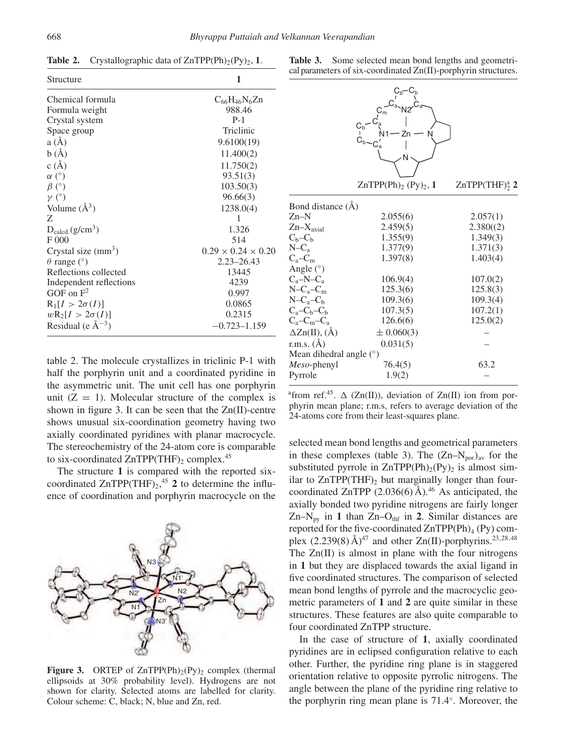| Structure                   | 1                              |
|-----------------------------|--------------------------------|
| Chemical formula            | $C_{66}H_{46}N_{6}Zn$          |
| Formula weight              | 988.46                         |
| Crystal system              | $P-1$                          |
| Space group                 | Triclinic                      |
| a(A)                        | 9.6100(19)                     |
| b(A)                        | 11.400(2)                      |
| c(A)                        | 11.750(2)                      |
| $\alpha$ (°)                | 93.51(3)                       |
| $\beta$ (°)                 | 103.50(3)                      |
| $\gamma$ (°)                | 96.66(3)                       |
| Volume $(\AA^3)$            | 1238.0(4)                      |
| Z                           | 1                              |
| $D_{\text{calcd.}}(g/cm^3)$ | 1.326                          |
| F000                        | 514                            |
| Crystal size $(mm^3)$       | $0.29 \times 0.24 \times 0.20$ |
| $\theta$ range (°)          | $2.23 - 26.43$                 |
| Reflections collected       | 13445                          |
| Independent reflections     | 4239                           |
| GOF on $F^2$                | 0.997                          |
| $R_1[I > 2\sigma(I)]$       | 0.0865                         |
| $wR_2[I > 2\sigma(I)]$      | 0.2315                         |
| Residual (e $\AA^{-3}$ )    | $-0.723 - 1.159$               |

**Table 2.** Crystallographic data of  $ZnTPP(Ph)_{2}(Py)_{2}$ , **1**.

table 2. The molecule crystallizes in triclinic P-1 with half the porphyrin unit and a coordinated pyridine in the asymmetric unit. The unit cell has one porphyrin unit  $(Z = 1)$ . Molecular structure of the complex is shown in figure 3. It can be seen that the Zn(II)-centre shows unusual six-coordination geometry having two axially coordinated pyridines with planar macrocycle. The stereochemistry of the 24-atom core is comparable to six-coordinated ZnTPP(THF)<sub>2</sub> complex.<sup>45</sup>

The structure **1** is compared with the reported sixcoordinated  $ZnTPP(THF)_{2}$ <sup>45</sup> **2** to determine the influence of coordination and porphyrin macrocycle on the



**Figure 3.** ORTEP of  $ZnTPP(Ph)_{2}(Py)_{2}$  complex (thermal ellipsoids at 30% probability level). Hydrogens are not shown for clarity. Selected atoms are labelled for clarity. Colour scheme: C, black; N, blue and Zn, red.

**Table 3.** Some selected mean bond lengths and geometrical parameters of six-coordinated Zn(II)-porphyrin structures.

|                         | $\mathtt{C}_\mathsf{m}$<br>$C_b$<br>N             |                    |
|-------------------------|---------------------------------------------------|--------------------|
|                         | ZnTPP $(Ph)$ <sub>2</sub> $(Py)$ <sub>2</sub> , 1 | $ZnTPP(THF)_2^a$ 2 |
| Bond distance (Å)       |                                                   |                    |
| $Zn-N$                  | 2.055(6)                                          | 2.057(1)           |
| $Zn-Xaxial$             | 2.459(5)                                          | 2.380(2)           |
| $C_b - C_b$             | 1.355(9)                                          | 1.349(3)           |
| $N-C_a$                 | 1.377(9)                                          | 1.371(3)           |
| $C_a - C_m$             | 1.397(8)                                          | 1.403(4)           |
| Angle $(°)$             |                                                   |                    |
| $C_a-N-C_a$             | 106.9(4)                                          | 107.0(2)           |
| $N-C_a-C_m$             | 125.3(6)                                          | 125.8(3)           |
| $N-C_a-C_b$             | 109.3(6)                                          | 109.3(4)           |
| $C_a - C_b - C_b$       | 107.3(5)                                          | 107.2(1)           |
| $C_a - C_m - C_a$       | 126.6(6)                                          | 125.0(2)           |
| $\Delta Zn(II)$ , (Å)   | $\pm 0.060(3)$                                    |                    |
| r.m.s. $(\AA)$          | 0.031(5)                                          |                    |
| Mean dihedral angle (°) |                                                   |                    |
| <i>Meso-phenyl</i>      | 76.4(5)                                           | 63.2               |
| Pyrrole                 | 1.9(2)                                            |                    |

<sup>a</sup> from ref.<sup>45</sup>.  $\Delta$  (Zn(II)), deviation of Zn(II) ion from porphyrin mean plane; r.m.s, refers to average deviation of the 24-atoms core from their least-squares plane.

selected mean bond lengths and geometrical parameters in these complexes (table 3). The  $(Zn-N_{\text{por}})_{av}$  for the substituted pyrrole in  $ZnTPP(Ph)<sub>2</sub>(Py)<sub>2</sub>$  is almost similar to  $ZnTPP(THF)$ <sub>2</sub> but marginally longer than fourcoordinated ZnTPP  $(2.036(6)$  Å).<sup>46</sup> As anticipated, the axially bonded two pyridine nitrogens are fairly longer  $Zn-N<sub>py</sub>$  in 1 than  $Zn-O<sub>thf</sub>$  in 2. Similar distances are reported for the five-coordinated  $ZnTPP(Ph)<sub>4</sub> (Py)$  complex  $(2.239(8)$  Å)<sup>47</sup> and other Zn(II)-porphyrins.<sup>23,28,48</sup> The  $Zn(II)$  is almost in plane with the four nitrogens in **1** but they are displaced towards the axial ligand in five coordinated structures. The comparison of selected mean bond lengths of pyrrole and the macrocyclic geometric parameters of **1** and **2** are quite similar in these structures. These features are also quite comparable to four coordinated ZnTPP structure.

In the case of structure of **1**, axially coordinated pyridines are in eclipsed configuration relative to each other. Further, the pyridine ring plane is in staggered orientation relative to opposite pyrrolic nitrogens. The angle between the plane of the pyridine ring relative to the porphyrin ring mean plane is 71.4◦ . Moreover, the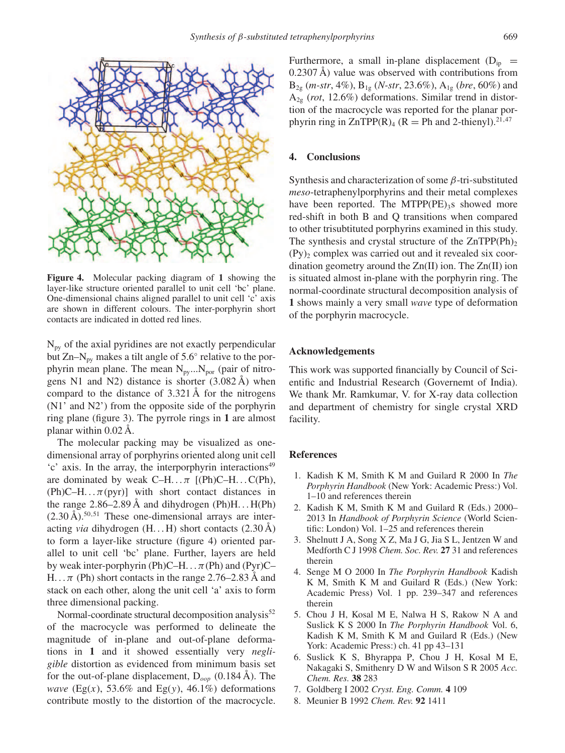

**Figure 4.** Molecular packing diagram of **1** showing the layer-like structure oriented parallel to unit cell 'bc' plane. One-dimensional chains aligned parallel to unit cell 'c' axis are shown in different colours. The inter-porphyrin short contacts are indicated in dotted red lines.

 $N_{\text{pv}}$  of the axial pyridines are not exactly perpendicular but Zn– $N_{py}$  makes a tilt angle of 5.6 $^{\circ}$  relative to the porphyrin mean plane. The mean  $N_{py}...N_{por}$  (pair of nitrogens N1 and N2) distance is shorter (3.082 Å) when compard to the distance of 3.321 Å for the nitrogens (N1' and N2') from the opposite side of the porphyrin ring plane (figure 3). The pyrrole rings in **1** are almost planar within 0.02 Å.

The molecular packing may be visualized as onedimensional array of porphyrins oriented along unit cell 'c' axis. In the array, the interporphyrin interactions<sup>49</sup> are dominated by weak  $C-H... \pi$  [(Ph)C–H...C(Ph),  $(Ph)C-H... \pi(pyr)$  with short contact distances in the range  $2.86-2.89$  Å and dihydrogen (Ph)H...  $H(Ph)$  $(2.30 \text{ Å})$ .<sup>50,51</sup> These one-dimensional arrays are interacting *via* dihydrogen (H. . . H) short contacts (2.30 Å) to form a layer-like structure (figure 4) oriented parallel to unit cell 'bc' plane. Further, layers are held by weak inter-porphyrin (Ph)C–H...  $\pi$ (Ph) and (Pyr)C– H...  $\pi$  (Ph) short contacts in the range 2.76–2.83 Å and stack on each other, along the unit cell 'a' axis to form three dimensional packing.

Normal-coordinate structural decomposition analysis $52$ of the macrocycle was performed to delineate the magnitude of in-plane and out-of-plane deformations in **1** and it showed essentially very *negligible* distortion as evidenced from minimum basis set for the out-of-plane displacement,  $D_{\text{con}}$  (0.184 Å). The *wave* (Eg(x), 53.6% and Eg(y), 46.1%) deformations contribute mostly to the distortion of the macrocycle. Furthermore, a small in-plane displacement  $(D_{in}$  = 0.2307 Å) value was observed with contributions from  $B_{2g}$  (*m-str*, 4%),  $B_{1g}$  (*N-str*, 23.6%),  $A_{1g}$  (*bre*, 60%) and A2g (*rot*, 12.6%) deformations. Similar trend in distortion of the macrocycle was reported for the planar porphyrin ring in  $ZnTPP(R)$ <sub>4</sub> (R = Ph and 2-thienyl).<sup>21,47</sup>

## **4. Conclusions**

Synthesis and characterization of some  $\beta$ -tri-substituted *meso*-tetraphenylporphyrins and their metal complexes have been reported. The MTPP( $PE$ )<sub>3</sub>s showed more red-shift in both B and Q transitions when compared to other trisubtituted porphyrins examined in this study. The synthesis and crystal structure of the  $ZnTPP(Ph)_{2}$  $(Py)_2$  complex was carried out and it revealed six coordination geometry around the Zn(II) ion. The Zn(II) ion is situated almost in-plane with the porphyrin ring. The normal-coordinate structural decomposition analysis of **1** shows mainly a very small *wave* type of deformation of the porphyrin macrocycle.

## **Acknowledgements**

This work was supported financially by Council of Scientific and Industrial Research (Governemt of India). We thank Mr. Ramkumar, V. for X-ray data collection and department of chemistry for single crystal XRD facility.

#### **References**

- 1. Kadish K M, Smith K M and Guilard R 2000 In *The Porphyrin Handbook* (New York: Academic Press:) Vol. 1–10 and references therein
- 2. Kadish K M, Smith K M and Guilard R (Eds.) 2000– 2013 In *Handbook of Porphyrin Science* (World Scientific: London) Vol. 1–25 and references therein
- 3. Shelnutt J A, Song X Z, Ma J G, Jia S L, Jentzen W and Medforth C J 1998 *Chem. Soc. Rev.* **27** 31 and references therein
- 4. Senge M O 2000 In *The Porphyrin Handbook* Kadish K M, Smith K M and Guilard R (Eds.) (New York: Academic Press) Vol. 1 pp. 239–347 and references therein
- 5. Chou J H, Kosal M E, Nalwa H S, Rakow N A and Suslick K S 2000 In *The Porphyrin Handbook* Vol. 6, Kadish K M, Smith K M and Guilard R (Eds.) (New York: Academic Press:) ch. 41 pp 43–131
- 6. Suslick K S, Bhyrappa P, Chou J H, Kosal M E, Nakagaki S, Smithenry D W and Wilson S R 2005 *Acc. Chem. Res.* **38** 283
- 7. Goldberg I 2002 *Cryst. Eng. Comm.* **4** 109
- 8. Meunier B 1992 *Chem. Rev.* **92** 1411